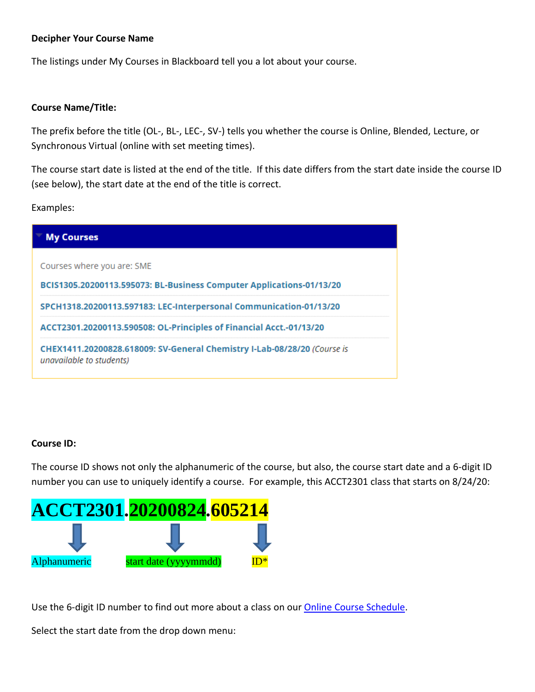## **Decipher Your Course Name**

The listings under My Courses in Blackboard tell you a lot about your course.

## **Course Name/Title:**

The prefix before the title (OL-, BL-, LEC-, SV-) tells you whether the course is Online, Blended, Lecture, or Synchronous Virtual (online with set meeting times).

The course start date is listed at the end of the title. If this date differs from the start date inside the course ID (see below), the start date at the end of the title is correct.

Examples:

| <b>My Courses</b>                                                                                    |
|------------------------------------------------------------------------------------------------------|
| Courses where you are: SME                                                                           |
| BCIS1305.20200113.595073: BL-Business Computer Applications-01/13/20                                 |
| SPCH1318.20200113.597183: LEC-Interpersonal Communication-01/13/20                                   |
| ACCT2301.20200113.590508: OL-Principles of Financial Acct.-01/13/20                                  |
| CHEX1411.20200828.618009: SV-General Chemistry I-Lab-08/28/20 (Course is<br>unavailable to students) |

## **Course ID:**

The course ID shows not only the alphanumeric of the course, but also, the course start date and a 6-digit ID number you can use to uniquely identify a course. For example, this ACCT2301 class that starts on 8/24/20:



Use the 6-digit ID number to find out more about a class on our **Online Course Schedule**.

Select the start date from the drop down menu: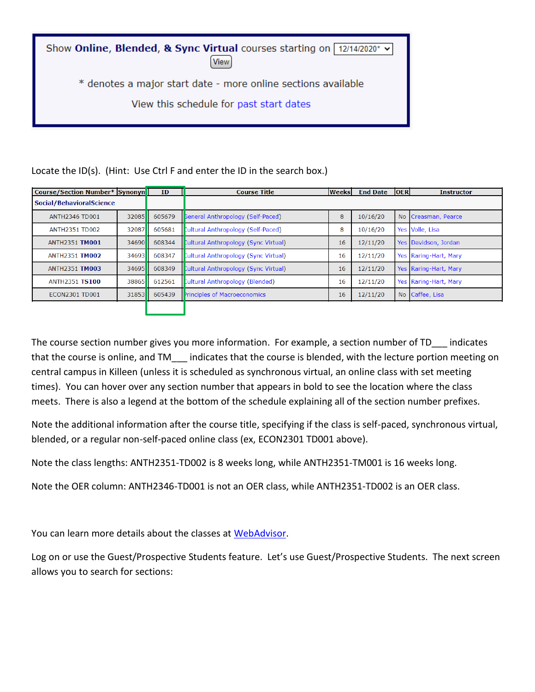Show Online, Blended, & Sync Virtual courses starting on [12/14/2020\* v] **View** \* denotes a major start date - more online sections available View this schedule for past start dates

| <b>Course/Section Number* Synonyn</b> |                     | ID     | <b>Course Title</b>                  | <b>Weeks</b> | <b>End Date</b> | <b>OER</b> | <b>Instructor</b>     |
|---------------------------------------|---------------------|--------|--------------------------------------|--------------|-----------------|------------|-----------------------|
| Social/BehavioralScience              |                     |        |                                      |              |                 |            |                       |
| <b>ANTH2346 TD001</b>                 | 32085               | 605679 | Seneral Anthropology (Self-Paced)    | 8            | 10/16/20        |            | No Creasman, Pearce   |
| <b>ANTH2351 TD002</b>                 | 32087               | 605681 | Cultural Anthropology (Self-Paced)   | 8            | 10/16/20        |            | Yes Volle, Lisa       |
| <b>ANTH2351 TM001</b>                 | 34690 <b>1</b>      | 608344 | Cultural Anthropology (Sync Virtual) | 16           | 12/11/20        |            | Yes Davidson, Jordan  |
| <b>ANTH2351 TM002</b>                 | 34693II             | 608347 | Cultural Anthropology (Sync Virtual) | 16           | 12/11/20        |            | Yes Raring-Hart, Mary |
| <b>ANTH2351 TM003</b>                 | 34695 <sup>II</sup> | 608349 | Cultural Anthropology (Sync Virtual) | 16           | 12/11/20        |            | Yes Raring-Hart, Mary |
| <b>ANTH2351 TS100</b>                 | 38865II             | 612561 | Cultural Anthropology (Blended)      | 16           | 12/11/20        |            | Yes Raring-Hart, Mary |
| ECON2301 TD001                        | 31853               | 605439 | Principles of Macroeconomics         | 16           | 12/11/20        |            | No Caffee, Lisa       |
|                                       |                     |        |                                      |              |                 |            |                       |

Locate the ID(s). (Hint: Use Ctrl F and enter the ID in the search box.)

The course section number gives you more information. For example, a section number of TD indicates that the course is online, and TM\_\_\_ indicates that the course is blended, with the lecture portion meeting on central campus in Killeen (unless it is scheduled as synchronous virtual, an online class with set meeting times). You can hover over any section number that appears in bold to see the location where the class meets. There is also a legend at the bottom of the schedule explaining all of the section number prefixes.

Note the additional information after the course title, specifying if the class is self-paced, synchronous virtual, blended, or a regular non-self-paced online class (ex, ECON2301 TD001 above).

Note the class lengths: ANTH2351-TD002 is 8 weeks long, while ANTH2351-TM001 is 16 weeks long.

Note the OER column: ANTH2346-TD001 is not an OER class, while ANTH2351-TD002 is an OER class.

You can learn more details about the classes at [WebAdvisor.](https://webadvisor.ctcd.org/)

Log on or use the Guest/Prospective Students feature. Let's use Guest/Prospective Students. The next screen allows you to search for sections: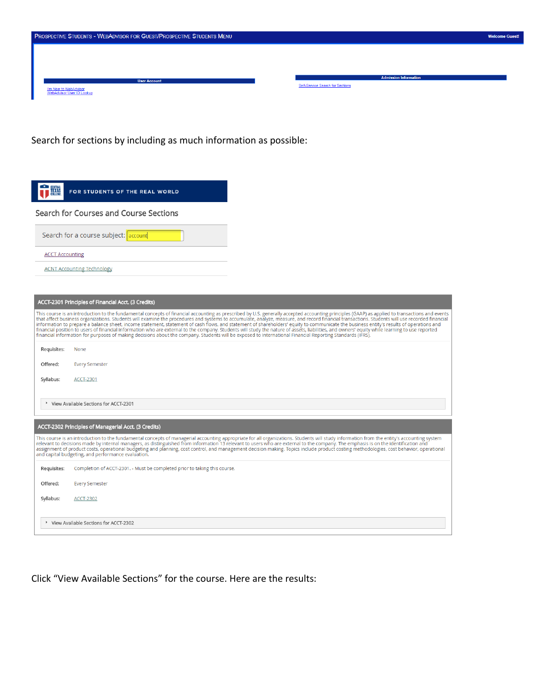| <b>PROSPECTIVE STUDENTS - WEBADVISOR FOR GUEST/PROSPECTIVE STUDENTS MENU</b> |                                  | <b>Welcome Guest!</b> |
|------------------------------------------------------------------------------|----------------------------------|-----------------------|
|                                                                              |                                  |                       |
|                                                                              | <b>Admission Information</b>     |                       |
| <b>User Account</b><br>I'm New to WebAdvisor<br>WebAdvisor User ID Lookup    | Self-Service Search for Sections |                       |

Search for sections by including as much information as possible:

| <b>EENTRAL</b><br>T <b>EXAS</b><br>COLLEGE | FOR STUDENTS OF THE REAL WORLD                                                                                                                                                                                                                                                                                                                                                                                                                                                                                                                                                                                                                                                                                                                                                                                                                                                                                                                            |
|--------------------------------------------|-----------------------------------------------------------------------------------------------------------------------------------------------------------------------------------------------------------------------------------------------------------------------------------------------------------------------------------------------------------------------------------------------------------------------------------------------------------------------------------------------------------------------------------------------------------------------------------------------------------------------------------------------------------------------------------------------------------------------------------------------------------------------------------------------------------------------------------------------------------------------------------------------------------------------------------------------------------|
|                                            | Search for Courses and Course Sections                                                                                                                                                                                                                                                                                                                                                                                                                                                                                                                                                                                                                                                                                                                                                                                                                                                                                                                    |
|                                            | Search for a course subject: account                                                                                                                                                                                                                                                                                                                                                                                                                                                                                                                                                                                                                                                                                                                                                                                                                                                                                                                      |
| <b>ACCT Accounting</b>                     |                                                                                                                                                                                                                                                                                                                                                                                                                                                                                                                                                                                                                                                                                                                                                                                                                                                                                                                                                           |
|                                            | <b>ACNT Accounting Technology</b>                                                                                                                                                                                                                                                                                                                                                                                                                                                                                                                                                                                                                                                                                                                                                                                                                                                                                                                         |
|                                            |                                                                                                                                                                                                                                                                                                                                                                                                                                                                                                                                                                                                                                                                                                                                                                                                                                                                                                                                                           |
|                                            | ACCT-2301 Principles of Financial Acct. (3 Credits)                                                                                                                                                                                                                                                                                                                                                                                                                                                                                                                                                                                                                                                                                                                                                                                                                                                                                                       |
|                                            | This course is an introduction to the fundamental concepts of financial accounting as prescribed by U.S. generally accepted accounting principles (GAAP) as applied to transactions and events<br>that affect business organizations. Students will examine the procedures and systems to accumulate, analyze, measure, and record financial transactions. Students will use recorded financial<br>information to prepare a balance sheet, income statement, statement of cash flows, and statement of shareholders' equity to communicate the business entity's results of operations and<br>financial position to users of financial information who are external to the company. Students will study the nature of assets, liabilities, and owners' equity while learning to use reported<br>financial information for purposes of making decisions about the company. Students will be exposed to International Financial Reporting Standards (IFRS). |
| Requisites:                                | <b>None</b>                                                                                                                                                                                                                                                                                                                                                                                                                                                                                                                                                                                                                                                                                                                                                                                                                                                                                                                                               |
| Offered:                                   | <b>Every Semester</b>                                                                                                                                                                                                                                                                                                                                                                                                                                                                                                                                                                                                                                                                                                                                                                                                                                                                                                                                     |
| Syllabus:                                  | <b>ACCT-2301</b>                                                                                                                                                                                                                                                                                                                                                                                                                                                                                                                                                                                                                                                                                                                                                                                                                                                                                                                                          |
|                                            | <sup>&gt;</sup> View Available Sections for ACCT-2301                                                                                                                                                                                                                                                                                                                                                                                                                                                                                                                                                                                                                                                                                                                                                                                                                                                                                                     |
|                                            | ACCT-2302 Principles of Managerial Acct. (3 Credits)                                                                                                                                                                                                                                                                                                                                                                                                                                                                                                                                                                                                                                                                                                                                                                                                                                                                                                      |
|                                            | This course is an introduction to the fundamental concepts of managerial accounting appropriate for all organizations. Students will study information from the entity's accounting system<br>relevant to decisions made by internal managers, as distinguished from information 13 relevant to users who are external to the company. The emphasis is on the identification and<br>assignment of product costs, operational budgeting and planning, cost control, and management decision making. Topics include product costing methodologies, cost behavior, operational<br>and capital budgeting, and performance evaluation.                                                                                                                                                                                                                                                                                                                         |
| Requisites:                                | Completion of ACCT-2301. - Must be completed prior to taking this course.                                                                                                                                                                                                                                                                                                                                                                                                                                                                                                                                                                                                                                                                                                                                                                                                                                                                                 |
| Offered:                                   | <b>Every Semester</b>                                                                                                                                                                                                                                                                                                                                                                                                                                                                                                                                                                                                                                                                                                                                                                                                                                                                                                                                     |
| Syllabus:                                  | <b>ACCT-2302</b>                                                                                                                                                                                                                                                                                                                                                                                                                                                                                                                                                                                                                                                                                                                                                                                                                                                                                                                                          |
|                                            | > View Available Sections for ACCT-2302                                                                                                                                                                                                                                                                                                                                                                                                                                                                                                                                                                                                                                                                                                                                                                                                                                                                                                                   |

Click "View Available Sections" for the course. Here are the results: